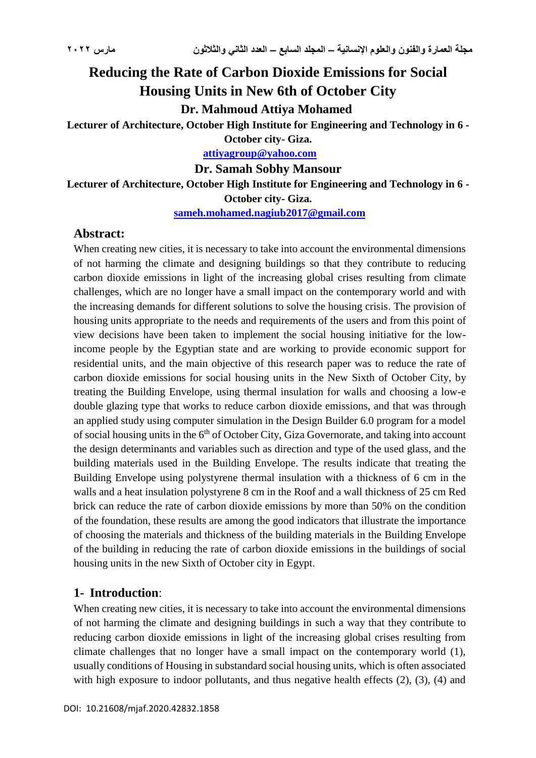# **Reducing the Rate of Carbon Dioxide Emissions for Social Housing Units in New 6th of October City Dr. Mahmoud Attiya Mohamed**

**Lecturer of Architecture, October High Institute for Engineering and Technology in 6 -**

**October city- Giza. [attiyagroup@yahoo.com](mailto:attiyagroup@yahoo.com)**

**Dr. Samah Sobhy Mansour**

**Lecturer of Architecture, October High Institute for Engineering and Technology in 6 - October city- Giza.**

**[sameh.mohamed.nagiub2017@gmail.com](mailto:sameh.mohamed.nagiub2017@gmail.com)**

# **Abstract:**

When creating new cities, it is necessary to take into account the environmental dimensions of not harming the climate and designing buildings so that they contribute to reducing carbon dioxide emissions in light of the increasing global crises resulting from climate challenges, which are no longer have a small impact on the contemporary world and with the increasing demands for different solutions to solve the housing crisis. The provision of housing units appropriate to the needs and requirements of the users and from this point of view decisions have been taken to implement the social housing initiative for the lowincome people by the Egyptian state and are working to provide economic support for residential units, and the main objective of this research paper was to reduce the rate of carbon dioxide emissions for social housing units in the New Sixth of October City, by treating the Building Envelope, using thermal insulation for walls and choosing a low-e double glazing type that works to reduce carbon dioxide emissions, and that was through an applied study using computer simulation in the Design Builder 6.0 program for a model of social housing units in the 6<sup>th</sup> of October City, Giza Governorate, and taking into account the design determinants and variables such as direction and type of the used glass, and the building materials used in the Building Envelope. The results indicate that treating the Building Envelope using polystyrene thermal insulation with a thickness of 6 cm in the walls and a heat insulation polystyrene 8 cm in the Roof and a wall thickness of 25 cm Red brick can reduce the rate of carbon dioxide emissions by more than 50% on the condition of the foundation, these results are among the good indicators that illustrate the importance of choosing the materials and thickness of the building materials in the Building Envelope of the building in reducing the rate of carbon dioxide emissions in the buildings of social housing units in the new Sixth of October city in Egypt.

# **1- Introduction**:

When creating new cities, it is necessary to take into account the environmental dimensions of not harming the climate and designing buildings in such a way that they contribute to reducing carbon dioxide emissions in light of the increasing global crises resulting from climate challenges that no longer have a small impact on the contemporary world (1), usually conditions of Housing in substandard social housing units, which is often associated with high exposure to indoor pollutants, and thus negative health effects  $(2)$ ,  $(3)$ ,  $(4)$  and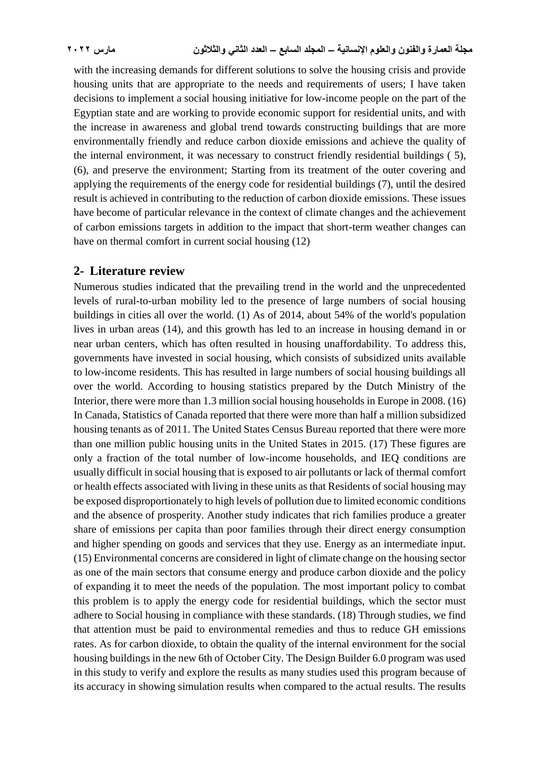with the increasing demands for different solutions to solve the housing crisis and provide housing units that are appropriate to the needs and requirements of users; I have taken decisions to implement a social housing initiative for low-income people on the part of the Egyptian state and are working to provide economic support for residential units, and with the increase in awareness and global trend towards constructing buildings that are more environmentally friendly and reduce carbon dioxide emissions and achieve the quality of the internal environment, it was necessary to construct friendly residential buildings ( 5), (6), and preserve the environment; Starting from its treatment of the outer covering and applying the requirements of the energy code for residential buildings (7), until the desired result is achieved in contributing to the reduction of carbon dioxide emissions. These issues have become of particular relevance in the context of climate changes and the achievement of carbon emissions targets in addition to the impact that short-term weather changes can have on thermal comfort in current social housing (12)

#### **2- Literature review**

Numerous studies indicated that the prevailing trend in the world and the unprecedented levels of rural-to-urban mobility led to the presence of large numbers of social housing buildings in cities all over the world. (1) As of 2014, about 54% of the world's population lives in urban areas (14), and this growth has led to an increase in housing demand in or near urban centers, which has often resulted in housing unaffordability. To address this, governments have invested in social housing, which consists of subsidized units available to low-income residents. This has resulted in large numbers of social housing buildings all over the world. According to housing statistics prepared by the Dutch Ministry of the Interior, there were more than 1.3 million social housing households in Europe in 2008. (16) In Canada, Statistics of Canada reported that there were more than half a million subsidized housing tenants as of 2011. The United States Census Bureau reported that there were more than one million public housing units in the United States in 2015. (17) These figures are only a fraction of the total number of low-income households, and IEQ conditions are usually difficult in social housing that is exposed to air pollutants or lack of thermal comfort or health effects associated with living in these units as that Residents of social housing may be exposed disproportionately to high levels of pollution due to limited economic conditions and the absence of prosperity. Another study indicates that rich families produce a greater share of emissions per capita than poor families through their direct energy consumption and higher spending on goods and services that they use. Energy as an intermediate input. (15) Environmental concerns are considered in light of climate change on the housing sector as one of the main sectors that consume energy and produce carbon dioxide and the policy of expanding it to meet the needs of the population. The most important policy to combat this problem is to apply the energy code for residential buildings, which the sector must adhere to Social housing in compliance with these standards. (18) Through studies, we find that attention must be paid to environmental remedies and thus to reduce GH emissions rates. As for carbon dioxide, to obtain the quality of the internal environment for the social housing buildings in the new 6th of October City. The Design Builder 6.0 program was used in this study to verify and explore the results as many studies used this program because of its accuracy in showing simulation results when compared to the actual results. The results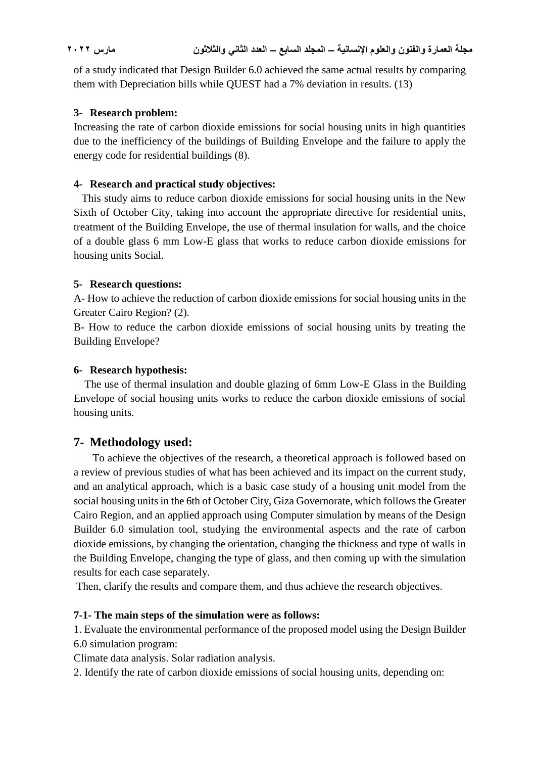of a study indicated that Design Builder 6.0 achieved the same actual results by comparing them with Depreciation bills while QUEST had a 7% deviation in results. (13)

#### **3- Research problem:**

Increasing the rate of carbon dioxide emissions for social housing units in high quantities due to the inefficiency of the buildings of Building Envelope and the failure to apply the energy code for residential buildings (8).

# **4- Research and practical study objectives:**

 This study aims to reduce carbon dioxide emissions for social housing units in the New Sixth of October City, taking into account the appropriate directive for residential units, treatment of the Building Envelope, the use of thermal insulation for walls, and the choice of a double glass 6 mm Low-E glass that works to reduce carbon dioxide emissions for housing units Social.

# **5- Research questions:**

A- How to achieve the reduction of carbon dioxide emissions for social housing units in the Greater Cairo Region? (2).

B- How to reduce the carbon dioxide emissions of social housing units by treating the Building Envelope?

# **6- Research hypothesis:**

 The use of thermal insulation and double glazing of 6mm Low-E Glass in the Building Envelope of social housing units works to reduce the carbon dioxide emissions of social housing units.

# **7- Methodology used:**

 To achieve the objectives of the research, a theoretical approach is followed based on a review of previous studies of what has been achieved and its impact on the current study, and an analytical approach, which is a basic case study of a housing unit model from the social housing units in the 6th of October City, Giza Governorate, which follows the Greater Cairo Region, and an applied approach using Computer simulation by means of the Design Builder 6.0 simulation tool, studying the environmental aspects and the rate of carbon dioxide emissions, by changing the orientation, changing the thickness and type of walls in the Building Envelope, changing the type of glass, and then coming up with the simulation results for each case separately.

Then, clarify the results and compare them, and thus achieve the research objectives.

# **7-1- The main steps of the simulation were as follows:**

1. Evaluate the environmental performance of the proposed model using the Design Builder 6.0 simulation program:

Climate data analysis. Solar radiation analysis.

2. Identify the rate of carbon dioxide emissions of social housing units, depending on: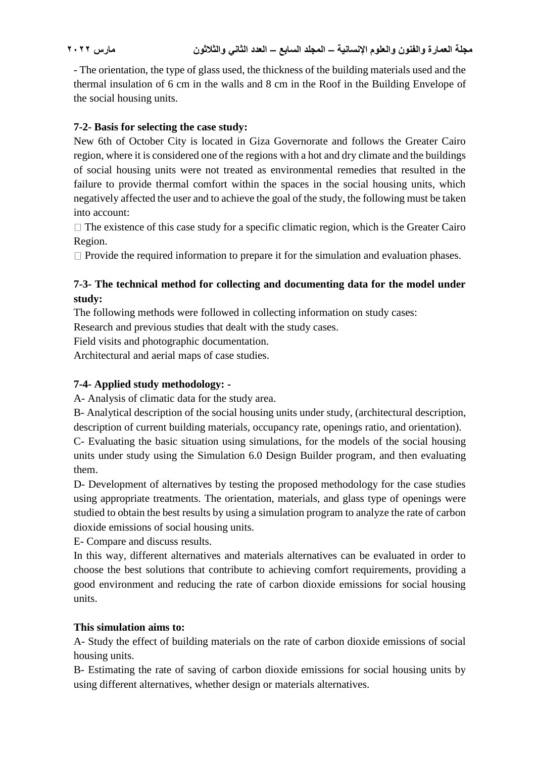- The orientation, the type of glass used, the thickness of the building materials used and the thermal insulation of 6 cm in the walls and 8 cm in the Roof in the Building Envelope of the social housing units.

# **7-2- Basis for selecting the case study:**

New 6th of October City is located in Giza Governorate and follows the Greater Cairo region, where it is considered one of the regions with a hot and dry climate and the buildings of social housing units were not treated as environmental remedies that resulted in the failure to provide thermal comfort within the spaces in the social housing units, which negatively affected the user and to achieve the goal of the study, the following must be taken into account:

 $\Box$  The existence of this case study for a specific climatic region, which is the Greater Cairo Region.

 $\Box$  Provide the required information to prepare it for the simulation and evaluation phases.

# **7-3- The technical method for collecting and documenting data for the model under study:**

The following methods were followed in collecting information on study cases:

Research and previous studies that dealt with the study cases.

Field visits and photographic documentation.

Architectural and aerial maps of case studies.

# **7-4- Applied study methodology: -**

A- Analysis of climatic data for the study area.

B- Analytical description of the social housing units under study, (architectural description, description of current building materials, occupancy rate, openings ratio, and orientation).

C- Evaluating the basic situation using simulations, for the models of the social housing units under study using the Simulation 6.0 Design Builder program, and then evaluating them.

D- Development of alternatives by testing the proposed methodology for the case studies using appropriate treatments. The orientation, materials, and glass type of openings were studied to obtain the best results by using a simulation program to analyze the rate of carbon dioxide emissions of social housing units.

E- Compare and discuss results.

In this way, different alternatives and materials alternatives can be evaluated in order to choose the best solutions that contribute to achieving comfort requirements, providing a good environment and reducing the rate of carbon dioxide emissions for social housing units.

# **This simulation aims to:**

A- Study the effect of building materials on the rate of carbon dioxide emissions of social housing units.

B- Estimating the rate of saving of carbon dioxide emissions for social housing units by using different alternatives, whether design or materials alternatives.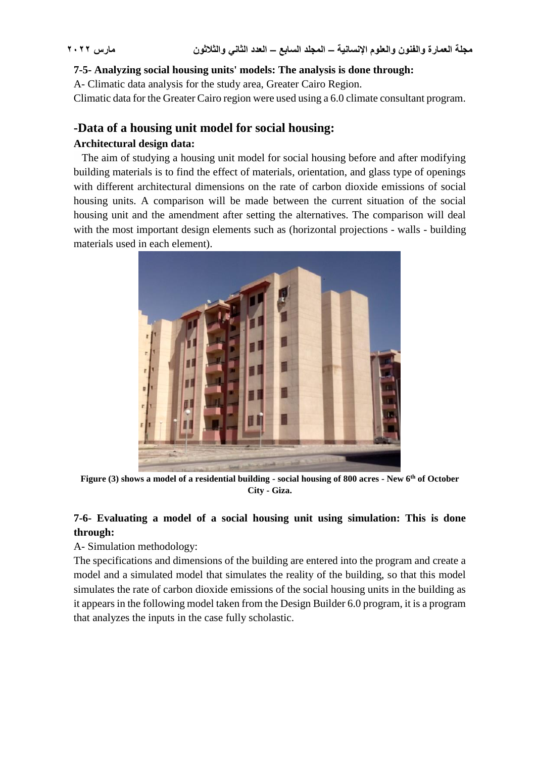#### **7-5- Analyzing social housing units' models: The analysis is done through:**

A- Climatic data analysis for the study area, Greater Cairo Region.

Climatic data for the Greater Cairo region were used using a 6.0 climate consultant program.

#### **-Data of a housing unit model for social housing:**

#### **Architectural design data:**

 The aim of studying a housing unit model for social housing before and after modifying building materials is to find the effect of materials, orientation, and glass type of openings with different architectural dimensions on the rate of carbon dioxide emissions of social housing units. A comparison will be made between the current situation of the social housing unit and the amendment after setting the alternatives. The comparison will deal with the most important design elements such as (horizontal projections - walls - building materials used in each element).



**Figure (3) shows a model of a residential building - social housing of 800 acres - New 6th of October City - Giza.**

# **7-6- Evaluating a model of a social housing unit using simulation: This is done through:**

A- Simulation methodology:

The specifications and dimensions of the building are entered into the program and create a model and a simulated model that simulates the reality of the building, so that this model simulates the rate of carbon dioxide emissions of the social housing units in the building as it appears in the following model taken from the Design Builder 6.0 program, it is a program that analyzes the inputs in the case fully scholastic.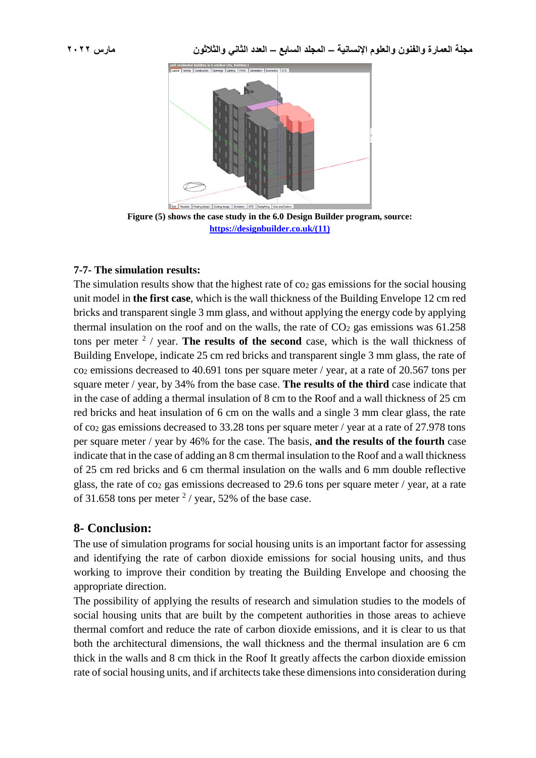

**Figure (5) shows the case study in the 6.0 Design Builder program, source: [https://designbuilder.co.uk/\(11\)](https://designbuilder.co.uk/(11))**

#### **7-7- The simulation results:**

The simulation results show that the highest rate of  $\cos_2$  gas emissions for the social housing unit model in **the first case**, which is the wall thickness of the Building Envelope 12 cm red bricks and transparent single 3 mm glass, and without applying the energy code by applying thermal insulation on the roof and on the walls, the rate of  $CO<sub>2</sub>$  gas emissions was 61.258 tons per meter  $2$  / year. The results of the second case, which is the wall thickness of Building Envelope, indicate 25 cm red bricks and transparent single 3 mm glass, the rate of co<sup>2</sup> emissions decreased to 40.691 tons per square meter / year, at a rate of 20.567 tons per square meter / year, by 34% from the base case. **The results of the third** case indicate that in the case of adding a thermal insulation of 8 cm to the Roof and a wall thickness of 25 cm red bricks and heat insulation of 6 cm on the walls and a single 3 mm clear glass, the rate of co<sup>2</sup> gas emissions decreased to 33.28 tons per square meter / year at a rate of 27.978 tons per square meter / year by 46% for the case. The basis, **and the results of the fourth** case indicate that in the case of adding an 8 cm thermal insulation to the Roof and a wall thickness of 25 cm red bricks and 6 cm thermal insulation on the walls and 6 mm double reflective glass, the rate of  $\cos$  gas emissions decreased to 29.6 tons per square meter / year, at a rate of 31.658 tons per meter  $2/$  year, 52% of the base case.

# **8- Conclusion:**

The use of simulation programs for social housing units is an important factor for assessing and identifying the rate of carbon dioxide emissions for social housing units, and thus working to improve their condition by treating the Building Envelope and choosing the appropriate direction.

The possibility of applying the results of research and simulation studies to the models of social housing units that are built by the competent authorities in those areas to achieve thermal comfort and reduce the rate of carbon dioxide emissions, and it is clear to us that both the architectural dimensions, the wall thickness and the thermal insulation are 6 cm thick in the walls and 8 cm thick in the Roof It greatly affects the carbon dioxide emission rate of social housing units, and if architects take these dimensions into consideration during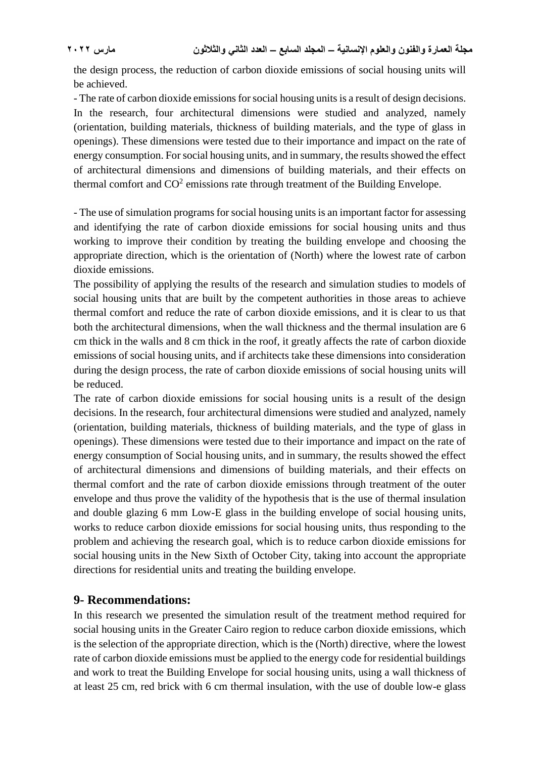the design process, the reduction of carbon dioxide emissions of social housing units will be achieved.

- The rate of carbon dioxide emissions for social housing units is a result of design decisions. In the research, four architectural dimensions were studied and analyzed, namely (orientation, building materials, thickness of building materials, and the type of glass in openings). These dimensions were tested due to their importance and impact on the rate of energy consumption. For social housing units, and in summary, the results showed the effect of architectural dimensions and dimensions of building materials, and their effects on thermal comfort and  $CO<sup>2</sup>$  emissions rate through treatment of the Building Envelope.

- The use of simulation programs for social housing units is an important factor for assessing and identifying the rate of carbon dioxide emissions for social housing units and thus working to improve their condition by treating the building envelope and choosing the appropriate direction, which is the orientation of (North) where the lowest rate of carbon dioxide emissions.

The possibility of applying the results of the research and simulation studies to models of social housing units that are built by the competent authorities in those areas to achieve thermal comfort and reduce the rate of carbon dioxide emissions, and it is clear to us that both the architectural dimensions, when the wall thickness and the thermal insulation are 6 cm thick in the walls and 8 cm thick in the roof, it greatly affects the rate of carbon dioxide emissions of social housing units, and if architects take these dimensions into consideration during the design process, the rate of carbon dioxide emissions of social housing units will be reduced.

The rate of carbon dioxide emissions for social housing units is a result of the design decisions. In the research, four architectural dimensions were studied and analyzed, namely (orientation, building materials, thickness of building materials, and the type of glass in openings). These dimensions were tested due to their importance and impact on the rate of energy consumption of Social housing units, and in summary, the results showed the effect of architectural dimensions and dimensions of building materials, and their effects on thermal comfort and the rate of carbon dioxide emissions through treatment of the outer envelope and thus prove the validity of the hypothesis that is the use of thermal insulation and double glazing 6 mm Low-E glass in the building envelope of social housing units, works to reduce carbon dioxide emissions for social housing units, thus responding to the problem and achieving the research goal, which is to reduce carbon dioxide emissions for social housing units in the New Sixth of October City, taking into account the appropriate directions for residential units and treating the building envelope.

# **9- Recommendations:**

In this research we presented the simulation result of the treatment method required for social housing units in the Greater Cairo region to reduce carbon dioxide emissions, which is the selection of the appropriate direction, which is the (North) directive, where the lowest rate of carbon dioxide emissions must be applied to the energy code for residential buildings and work to treat the Building Envelope for social housing units, using a wall thickness of at least 25 cm, red brick with 6 cm thermal insulation, with the use of double low-e glass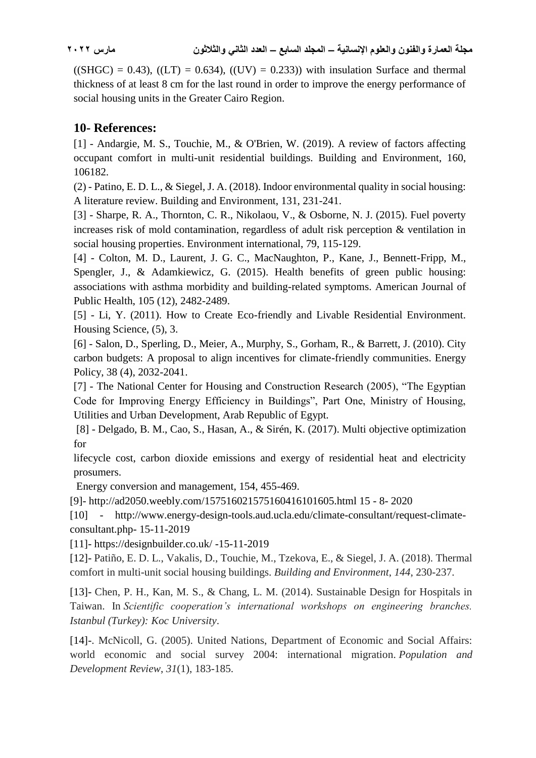$((SHGC) = 0.43)$ ,  $((LT) = 0.634)$ ,  $((UV) = 0.233)$  with insulation Surface and thermal thickness of at least 8 cm for the last round in order to improve the energy performance of social housing units in the Greater Cairo Region.

# **10- References:**

[1] - Andargie, M. S., Touchie, M., & O'Brien, W. (2019). A review of factors affecting occupant comfort in multi-unit residential buildings. Building and Environment, 160, 106182.

(2) - Patino, E. D. L., & Siegel, J. A. (2018). Indoor environmental quality in social housing: A literature review. Building and Environment, 131, 231-241.

[3] - Sharpe, R. A., Thornton, C. R., Nikolaou, V., & Osborne, N. J. (2015). Fuel poverty increases risk of mold contamination, regardless of adult risk perception & ventilation in social housing properties. Environment international, 79, 115-129.

[4] - Colton, M. D., Laurent, J. G. C., MacNaughton, P., Kane, J., Bennett-Fripp, M., Spengler, J., & Adamkiewicz, G. (2015). Health benefits of green public housing: associations with asthma morbidity and building-related symptoms. American Journal of Public Health, 105 (12), 2482-2489.

[5] - Li, Y. (2011). How to Create Eco-friendly and Livable Residential Environment. Housing Science, (5), 3.

[6] - Salon, D., Sperling, D., Meier, A., Murphy, S., Gorham, R., & Barrett, J. (2010). City carbon budgets: A proposal to align incentives for climate-friendly communities. Energy Policy, 38 (4), 2032-2041.

[7] - The National Center for Housing and Construction Research (2005), "The Egyptian Code for Improving Energy Efficiency in Buildings", Part One, Ministry of Housing, Utilities and Urban Development, Arab Republic of Egypt.

[8] - Delgado, B. M., Cao, S., Hasan, A., & Sirén, K. (2017). Multi objective optimization for

lifecycle cost, carbon dioxide emissions and exergy of residential heat and electricity prosumers.

Energy conversion and management, 154, 455-469.

[9]- http://ad2050.weebly.com/157516021575160416101605.html 15 - 8- 2020

[10] - http://www.energy-design-tools.aud.ucla.edu/climate-consultant/request-climateconsultant.php- 15-11-2019

[11]- https://designbuilder.co.uk/ -15-11-2019

[12]- Patiño, E. D. L., Vakalis, D., Touchie, M., Tzekova, E., & Siegel, J. A. (2018). Thermal comfort in multi-unit social housing buildings. *Building and Environment*, *144*, 230-237.

[13]- Chen, P. H., Kan, M. S., & Chang, L. M. (2014). Sustainable Design for Hospitals in Taiwan. In *Scientific cooperation's international workshops on engineering branches. Istanbul (Turkey): Koc University*.

[14]-. McNicoll, G. (2005). United Nations, Department of Economic and Social Affairs: world economic and social survey 2004: international migration. *Population and Development Review*, *31*(1), 183-185.